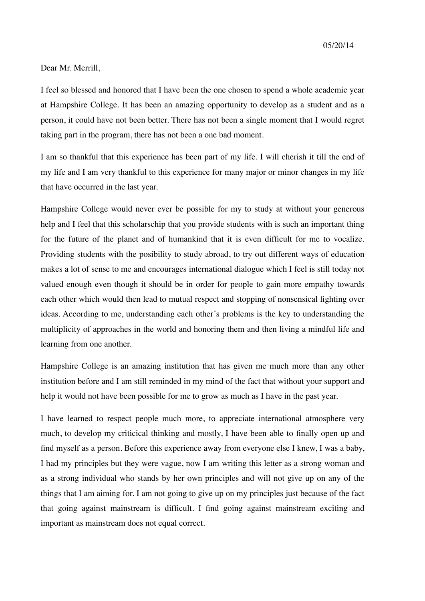Dear Mr. Merrill,

I feel so blessed and honored that I have been the one chosen to spend a whole academic year at Hampshire College. It has been an amazing opportunity to develop as a student and as a person, it could have not been better. There has not been a single moment that I would regret taking part in the program, there has not been a one bad moment.

I am so thankful that this experience has been part of my life. I will cherish it till the end of my life and I am very thankful to this experience for many major or minor changes in my life that have occurred in the last year.

Hampshire College would never ever be possible for my to study at without your generous help and I feel that this scholarschip that you provide students with is such an important thing for the future of the planet and of humankind that it is even difficult for me to vocalize. Providing students with the posibility to study abroad, to try out different ways of education makes a lot of sense to me and encourages international dialogue which I feel is still today not valued enough even though it should be in order for people to gain more empathy towards each other which would then lead to mutual respect and stopping of nonsensical fighting over ideas. According to me, understanding each other´s problems is the key to understanding the multiplicity of approaches in the world and honoring them and then living a mindful life and learning from one another.

Hampshire College is an amazing institution that has given me much more than any other institution before and I am still reminded in my mind of the fact that without your support and help it would not have been possible for me to grow as much as I have in the past year.

I have learned to respect people much more, to appreciate international atmosphere very much, to develop my criticical thinking and mostly, I have been able to finally open up and find myself as a person. Before this experience away from everyone else I knew, I was a baby, I had my principles but they were vague, now I am writing this letter as a strong woman and as a strong individual who stands by her own principles and will not give up on any of the things that I am aiming for. I am not going to give up on my principles just because of the fact that going against mainstream is difficult. I find going against mainstream exciting and important as mainstream does not equal correct.